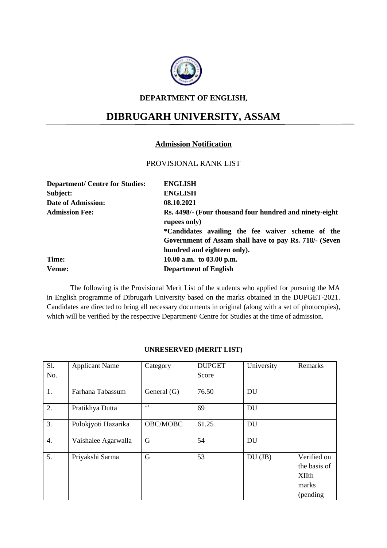

#### **DEPARTMENT OF ENGLISH,**

# **DIBRUGARH UNIVERSITY, ASSAM**

#### **Admission Notification**

#### PROVISIONAL RANK LIST

| <b>Department/ Centre for Studies:</b> | <b>ENGLISH</b>                                                                                                                             |
|----------------------------------------|--------------------------------------------------------------------------------------------------------------------------------------------|
| Subject:                               | <b>ENGLISH</b>                                                                                                                             |
| <b>Date of Admission:</b>              | 08.10.2021                                                                                                                                 |
| <b>Admission Fee:</b>                  | Rs. 4498/- (Four thousand four hundred and ninety-eight<br>rupees only)                                                                    |
|                                        | *Candidates availing the fee waiver scheme of the<br>Government of Assam shall have to pay Rs. 718/- (Seven<br>hundred and eighteen only). |
| Time:                                  | 10.00 a.m. to $03.00$ p.m.                                                                                                                 |
| <b>Venue:</b>                          | <b>Department of English</b>                                                                                                               |

The following is the Provisional Merit List of the students who applied for pursuing the MA in English programme of Dibrugarh University based on the marks obtained in the DUPGET-2021. Candidates are directed to bring all necessary documents in original (along with a set of photocopies), which will be verified by the respective Department/ Centre for Studies at the time of admission.

| S1. | <b>Applicant Name</b> | Category      | <b>DUPGET</b> | University | Remarks      |
|-----|-----------------------|---------------|---------------|------------|--------------|
| No. |                       |               | Score         |            |              |
|     |                       |               |               |            |              |
| 1.  | Farhana Tabassum      | General $(G)$ | 76.50         | DU         |              |
| 2.  | Pratikhya Dutta       | $\epsilon$ ,  | 69            | DU         |              |
| 3.  | Pulokjyoti Hazarika   | OBC/MOBC      | 61.25         | <b>DU</b>  |              |
| 4.  | Vaishalee Agarwalla   | G             | 54            | <b>DU</b>  |              |
| 5.  | Priyakshi Sarma       | G             | 53            | $DU$ (JB)  | Verified on  |
|     |                       |               |               |            | the basis of |
|     |                       |               |               |            | <b>XIIth</b> |
|     |                       |               |               |            | marks        |
|     |                       |               |               |            | (pending)    |

#### **UNRESERVED (MERIT LIST)**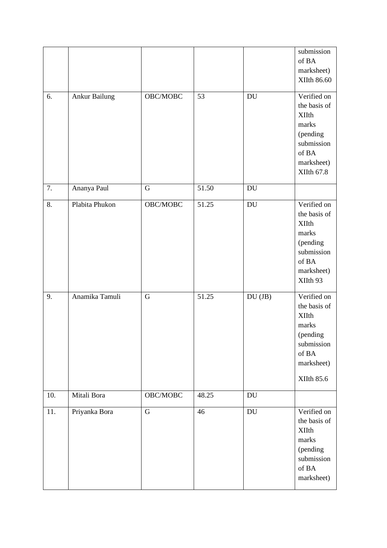|     |                |             |       |                            | submission<br>of BA<br>marksheet)<br>XIIth 86.60                                                                    |
|-----|----------------|-------------|-------|----------------------------|---------------------------------------------------------------------------------------------------------------------|
| 6.  | Ankur Bailung  | OBC/MOBC    | 53    | DU                         | Verified on<br>the basis of<br><b>XIIth</b><br>marks<br>(pending<br>submission<br>of BA<br>marksheet)<br>XIIth 67.8 |
| 7.  | Ananya Paul    | G           | 51.50 | <b>DU</b>                  |                                                                                                                     |
| 8.  | Plabita Phukon | OBC/MOBC    | 51.25 | DU                         | Verified on<br>the basis of<br><b>XIIth</b><br>marks<br>(pending<br>submission<br>of BA<br>marksheet)<br>XIIth 93   |
| 9.  | Anamika Tamuli | G           | 51.25 | $DU(JB)$                   | Verified on<br>the basis of<br><b>XIIth</b><br>marks<br>(pending<br>submission<br>of BA<br>marksheet)<br>XIIth 85.6 |
| 10. | Mitali Bora    | OBC/MOBC    | 48.25 | <b>DU</b>                  |                                                                                                                     |
| 11. | Priyanka Bora  | $\mathbf G$ | 46    | $\mathop{\rm DU}\nolimits$ | Verified on<br>the basis of<br><b>XIIth</b><br>marks<br>(pending<br>submission<br>of $\mathbf{BA}$<br>marksheet)    |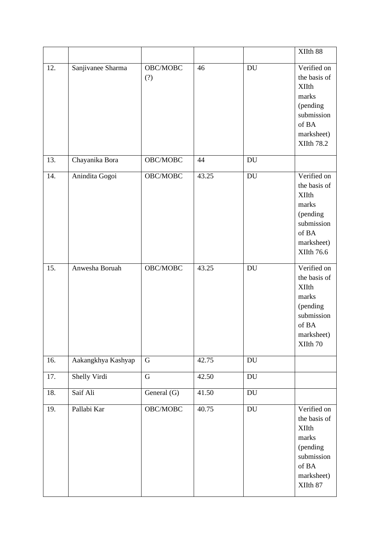|     |                    |                     |       |                            | XIIth 88                                                                                                                   |
|-----|--------------------|---------------------|-------|----------------------------|----------------------------------------------------------------------------------------------------------------------------|
| 12. | Sanjivanee Sharma  | OBC/MOBC<br>(?)     | 46    | DU                         | Verified on<br>the basis of<br><b>XIIth</b><br>marks<br>(pending<br>submission<br>of BA<br>marksheet)<br><b>XIIth 78.2</b> |
| 13. | Chayanika Bora     | $\mathrm{OBC/MOBC}$ | 44    | $\mathop{\rm DU}\nolimits$ |                                                                                                                            |
| 14. | Anindita Gogoi     | OBC/MOBC            | 43.25 | DU                         | Verified on<br>the basis of<br><b>XIIth</b><br>marks<br>(pending<br>submission<br>of BA<br>marksheet)<br><b>XIIth 76.6</b> |
| 15. | Anwesha Boruah     | OBC/MOBC            | 43.25 | DU                         | Verified on<br>the basis of<br><b>XIIth</b><br>marks<br>(pending<br>submission<br>of BA<br>marksheet)<br>XIIth 70          |
| 16. | Aakangkhya Kashyap | G                   | 42.75 | DU                         |                                                                                                                            |
| 17. | Shelly Virdi       | ${\bf G}$           | 42.50 | DU                         |                                                                                                                            |
| 18. | Saif Ali           | General (G)         | 41.50 | DU                         |                                                                                                                            |
| 19. | Pallabi Kar        | OBC/MOBC            | 40.75 | $\mathop{\rm DU}\nolimits$ | Verified on<br>the basis of<br><b>XIIth</b><br>marks<br>(pending<br>submission<br>of BA<br>marksheet)<br>XIIth 87          |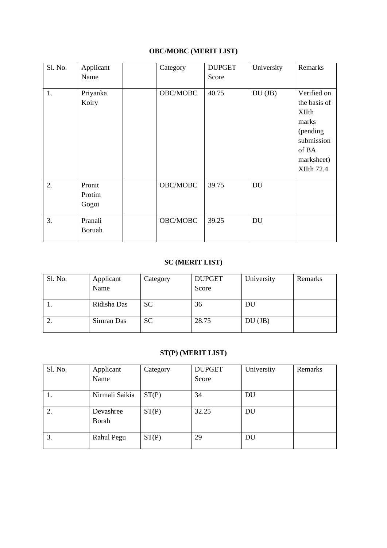## **OBC/MOBC (MERIT LIST)**

| Sl. No. | Applicant<br>Name         | Category | <b>DUPGET</b><br>Score | University | Remarks                                                                                                                    |
|---------|---------------------------|----------|------------------------|------------|----------------------------------------------------------------------------------------------------------------------------|
| 1.      | Priyanka<br>Koiry         | OBC/MOBC | 40.75                  | $DU$ (JB)  | Verified on<br>the basis of<br><b>XIIth</b><br>marks<br>(pending<br>submission<br>of BA<br>marksheet)<br><b>XIIth 72.4</b> |
| 2.      | Pronit<br>Protim<br>Gogoi | OBC/MOBC | 39.75                  | <b>DU</b>  |                                                                                                                            |
| 3.      | Pranali<br>Boruah         | OBC/MOBC | 39.25                  | <b>DU</b>  |                                                                                                                            |

# **SC (MERIT LIST)**

| Sl. No. | Applicant<br>Name | Category  | <b>DUPGET</b><br>Score | University | Remarks |
|---------|-------------------|-----------|------------------------|------------|---------|
|         | Ridisha Das       | SC        | 36                     | DU         |         |
| ٠.      | Simran Das        | <b>SC</b> | 28.75                  | $DU$ (JB)  |         |

#### **ST(P) (MERIT LIST)**

| Sl. No. | Applicant      | Category | <b>DUPGET</b> | University | Remarks |
|---------|----------------|----------|---------------|------------|---------|
|         | Name           |          | Score         |            |         |
|         |                |          |               |            |         |
| 1.      | Nirmali Saikia | ST(P)    | 34            | DU         |         |
| 2.      | Devashree      | ST(P)    | 32.25         | <b>DU</b>  |         |
|         | Borah          |          |               |            |         |
| 3.      | Rahul Pegu     | ST(P)    | 29            | <b>DU</b>  |         |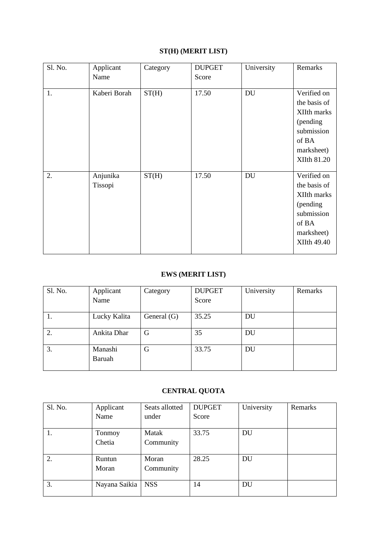## **ST(H) (MERIT LIST)**

| Sl. No. | Applicant<br>Name   | Category | <b>DUPGET</b><br>Score | University | Remarks                                                                                                           |
|---------|---------------------|----------|------------------------|------------|-------------------------------------------------------------------------------------------------------------------|
| 1.      | Kaberi Borah        | ST(H)    | 17.50                  | DU         | Verified on<br>the basis of<br>XIIth marks<br>(pending<br>submission<br>of BA<br>marksheet)<br><b>XIIth 81.20</b> |
| 2.      | Anjunika<br>Tissopi | ST(H)    | 17.50                  | <b>DU</b>  | Verified on<br>the basis of<br>XIIth marks<br>(pending<br>submission<br>of BA<br>marksheet)<br><b>XIIth 49.40</b> |

#### **EWS (MERIT LIST)**

| Sl. No. | Applicant    | Category      | <b>DUPGET</b> | University | Remarks |
|---------|--------------|---------------|---------------|------------|---------|
|         | Name         |               | Score         |            |         |
|         |              |               |               |            |         |
| 1.      | Lucky Kalita | General $(G)$ | 35.25         | DU         |         |
|         |              |               |               |            |         |
| 2.      | Ankita Dhar  | G             | 35            | DU         |         |
|         |              |               |               |            |         |
| 3.      | Manashi      | G             | 33.75         | <b>DU</b>  |         |
|         | Baruah       |               |               |            |         |
|         |              |               |               |            |         |

# **CENTRAL QUOTA**

| Sl. No. | Applicant     | Seats allotted | <b>DUPGET</b> | University | Remarks |
|---------|---------------|----------------|---------------|------------|---------|
|         | Name          | under          | Score         |            |         |
|         |               |                |               |            |         |
| 1.      | Tonmoy        | Matak          | 33.75         | <b>DU</b>  |         |
|         | Chetia        | Community      |               |            |         |
|         |               |                |               |            |         |
| 2.      | Runtun        | Moran          | 28.25         | <b>DU</b>  |         |
|         | Moran         | Community      |               |            |         |
|         |               |                |               |            |         |
| 3.      | Nayana Saikia | <b>NSS</b>     | 14            | <b>DU</b>  |         |
|         |               |                |               |            |         |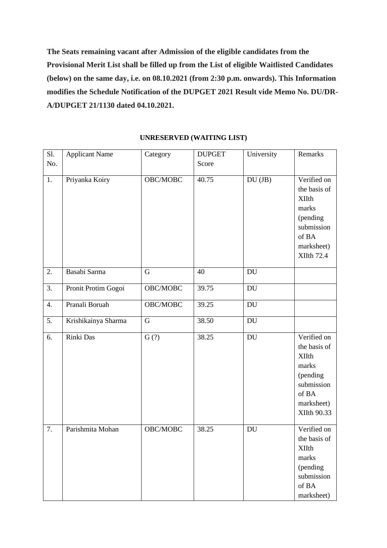**The Seats remaining vacant after Admission of the eligible candidates from the Provisional Merit List shall be filled up from the List of eligible Waitlisted Candidates (below) on the same day, i.e. on 08.10.2021 (from 2:30 p.m. onwards). This Information modifies the Schedule Notification of the DUPGET 2021 Result vide Memo No. DU/DR-A/DUPGET 21/1130 dated 04.10.2021.**

| Sl. | <b>Applicant Name</b> | Category    | <b>DUPGET</b> | University                 | Remarks           |
|-----|-----------------------|-------------|---------------|----------------------------|-------------------|
| No. |                       |             | Score         |                            |                   |
|     |                       |             |               |                            |                   |
| 1.  | Priyanka Koiry        | OBC/MOBC    | 40.75         | $DU$ (JB)                  | Verified on       |
|     |                       |             |               |                            | the basis of      |
|     |                       |             |               |                            | <b>XIIth</b>      |
|     |                       |             |               |                            | marks             |
|     |                       |             |               |                            | (pending          |
|     |                       |             |               |                            | submission        |
|     |                       |             |               |                            | of BA             |
|     |                       |             |               |                            | marksheet)        |
|     |                       |             |               |                            | <b>XIIth 72.4</b> |
| 2.  | Basabi Sarma          | G           | 40            | $\mathbf{D}\mathbf{U}$     |                   |
|     |                       |             |               |                            |                   |
| 3.  | Pronit Protim Gogoi   | OBC/MOBC    | 39.75         | DU                         |                   |
| 4.  | Pranali Boruah        | OBC/MOBC    | 39.25         | $\mathbf{D}\mathbf{U}$     |                   |
|     |                       |             |               |                            |                   |
| 5.  | Krishikainya Sharma   | $\mathbf G$ | 38.50         | $\mathop{\rm DU}\nolimits$ |                   |
| 6.  | Rinki Das             | G(?)        | 38.25         | DU                         | Verified on       |
|     |                       |             |               |                            | the basis of      |
|     |                       |             |               |                            | <b>XIIth</b>      |
|     |                       |             |               |                            | marks             |
|     |                       |             |               |                            | (pending          |
|     |                       |             |               |                            | submission        |
|     |                       |             |               |                            | of BA             |
|     |                       |             |               |                            | marksheet)        |
|     |                       |             |               |                            | XIIth 90.33       |
| 7.  | Parishmita Mohan      | OBC/MOBC    | 38.25         | <b>DU</b>                  | Verified on       |
|     |                       |             |               |                            |                   |
|     |                       |             |               |                            | the basis of      |
|     |                       |             |               |                            | <b>XIIth</b>      |
|     |                       |             |               |                            | marks             |
|     |                       |             |               |                            | (pending          |
|     |                       |             |               |                            | submission        |
|     |                       |             |               |                            | of $\mathbf{BA}$  |
|     |                       |             |               |                            | marksheet)        |

#### **UNRESERVED (WAITING LIST)**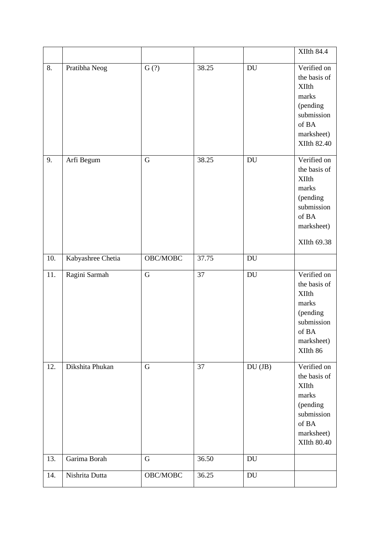|     |                   |                     |       |                            | <b>XIIth 84.4</b>                                                                                                    |
|-----|-------------------|---------------------|-------|----------------------------|----------------------------------------------------------------------------------------------------------------------|
| 8.  | Pratibha Neog     | G(?)                | 38.25 | DU                         | Verified on<br>the basis of<br><b>XIIth</b><br>marks<br>(pending<br>submission<br>of BA<br>marksheet)<br>XIIth 82.40 |
| 9.  | Arfi Begum        | $\mathbf G$         | 38.25 | $\operatorname{DU}$        | Verified on<br>the basis of<br><b>XIIth</b><br>marks<br>(pending<br>submission<br>of BA<br>marksheet)<br>XIIth 69.38 |
| 10. | Kabyashree Chetia | OBC/MOBC            | 37.75 | DU                         |                                                                                                                      |
| 11. | Ragini Sarmah     | $\mathbf G$         | 37    | DU                         | Verified on<br>the basis of<br><b>XIIth</b><br>marks<br>(pending<br>submission<br>of BA<br>marksheet)<br>XIIth 86    |
| 12. | Dikshita Phukan   | $\mathbf G$         | 37    | DU (JB)                    | Verified on<br>the basis of<br><b>XIIth</b><br>marks<br>(pending<br>submission<br>of BA<br>marksheet)<br>XIIth 80.40 |
| 13. | Garima Borah      | $\mathbf G$         | 36.50 | DU                         |                                                                                                                      |
| 14. | Nishrita Dutta    | $\mathrm{OBC/MOBC}$ | 36.25 | $\mathop{\rm DU}\nolimits$ |                                                                                                                      |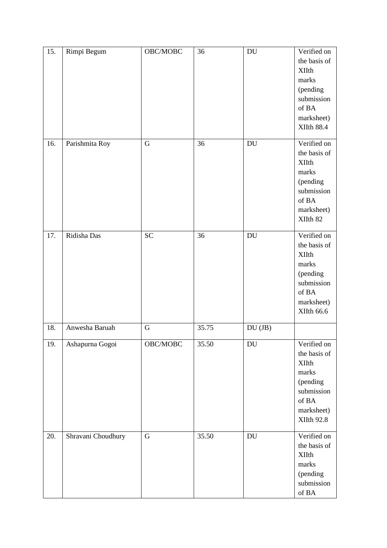| 15. | Rimpi Begum        | OBC/MOBC    | 36    | $\operatorname{DU}$ | Verified on<br>the basis of<br><b>XIIth</b><br>marks<br>(pending<br>submission<br>of BA<br>marksheet)<br><b>XIIth 88.4</b> |
|-----|--------------------|-------------|-------|---------------------|----------------------------------------------------------------------------------------------------------------------------|
| 16. | Parishmita Roy     | $\mathbf G$ | 36    | DU                  | Verified on<br>the basis of<br><b>XIIth</b><br>marks<br>(pending<br>submission<br>of BA<br>marksheet)<br>XIIth 82          |
| 17. | Ridisha Das        | <b>SC</b>   | 36    | DU                  | Verified on<br>the basis of<br><b>XIIth</b><br>marks<br>(pending<br>submission<br>of BA<br>marksheet)<br>XIIth 66.6        |
| 18. | Anwesha Baruah     | $\mathbf G$ | 35.75 | $DU$ (JB)           |                                                                                                                            |
| 19. | Ashapurna Gogoi    | OBC/MOBC    | 35.50 | DU                  | Verified on<br>the basis of<br><b>XIIth</b><br>marks<br>(pending<br>submission<br>of BA<br>marksheet)<br><b>XIIth 92.8</b> |
| 20. | Shravani Choudhury | $\mathbf G$ | 35.50 | <b>DU</b>           | Verified on<br>the basis of<br><b>XIIth</b><br>marks<br>(pending<br>submission<br>of BA                                    |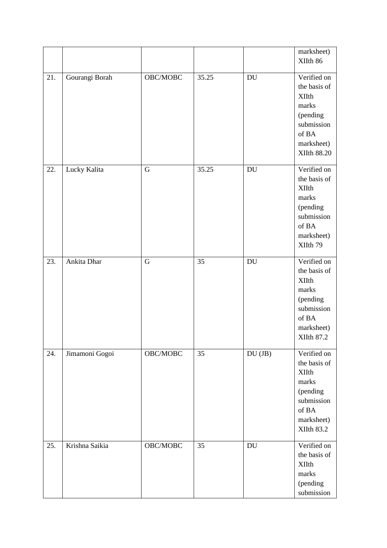|     |                |                |       |                            | marksheet)<br>XIIth 86                                                                                                      |
|-----|----------------|----------------|-------|----------------------------|-----------------------------------------------------------------------------------------------------------------------------|
| 21. | Gourangi Borah | OBC/MOBC       | 35.25 | $\mathop{\rm DU}\nolimits$ | Verified on<br>the basis of<br><b>XIIth</b><br>marks<br>(pending<br>submission<br>of BA<br>marksheet)<br><b>XIIth 88.20</b> |
| 22. | Lucky Kalita   | $\overline{G}$ | 35.25 | $\mathop{\rm DU}\nolimits$ | Verified on<br>the basis of<br><b>XIIth</b><br>marks<br>(pending<br>submission<br>of BA<br>marksheet)<br>XIIth 79           |
| 23. | Ankita Dhar    | $\overline{G}$ | 35    | $\mathop{\rm DU}\nolimits$ | Verified on<br>the basis of<br><b>XIIth</b><br>marks<br>(pending<br>submission<br>of BA<br>marksheet)<br><b>XIIth 87.2</b>  |
| 24. | Jimamoni Gogoi | OBC/MOBC       | 35    | $DU$ $JB$ )                | Verified on<br>the basis of<br><b>XIIth</b><br>marks<br>(pending<br>submission<br>of BA<br>marksheet)<br>XIIth 83.2         |
| 25. | Krishna Saikia | OBC/MOBC       | 35    | $\mathop{\rm DU}\nolimits$ | Verified on<br>the basis of<br><b>XIIth</b><br>marks<br>(pending<br>submission                                              |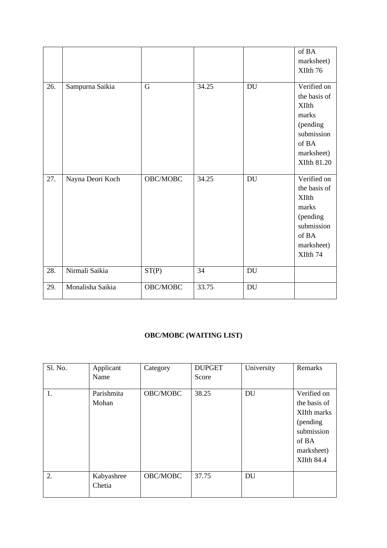|     |                  |                     |       |                            | of BA<br>marksheet)<br>XIIth 76                                                                                      |
|-----|------------------|---------------------|-------|----------------------------|----------------------------------------------------------------------------------------------------------------------|
| 26. | Sampurna Saikia  | $\overline{G}$      | 34.25 | $\mathop{\rm DU}\nolimits$ | Verified on<br>the basis of<br><b>XIIth</b><br>marks<br>(pending<br>submission<br>of BA<br>marksheet)<br>XIIth 81.20 |
| 27. | Nayna Deori Koch | OBC/MOBC            | 34.25 | DU                         | Verified on<br>the basis of<br><b>XIIth</b><br>marks<br>(pending<br>submission<br>of BA<br>marksheet)<br>XIIth 74    |
| 28. | Nirmali Saikia   | ST(P)               | 34    | $\mathop{\rm DU}\nolimits$ |                                                                                                                      |
| 29. | Monalisha Saikia | $\mathrm{OBC/MOBC}$ | 33.75 | DU                         |                                                                                                                      |

#### **OBC/MOBC (WAITING LIST)**

| Sl. No. | Applicant<br>Name    | Category | <b>DUPGET</b><br>Score | University | Remarks                                                                                                           |
|---------|----------------------|----------|------------------------|------------|-------------------------------------------------------------------------------------------------------------------|
| 1.      | Parishmita<br>Mohan  | OBC/MOBC | 38.25                  | <b>DU</b>  | Verified on<br>the basis of<br>XIIth marks<br>(pending)<br>submission<br>of BA<br>marksheet)<br><b>XIIth 84.4</b> |
| 2.      | Kabyashree<br>Chetia | OBC/MOBC | 37.75                  | <b>DU</b>  |                                                                                                                   |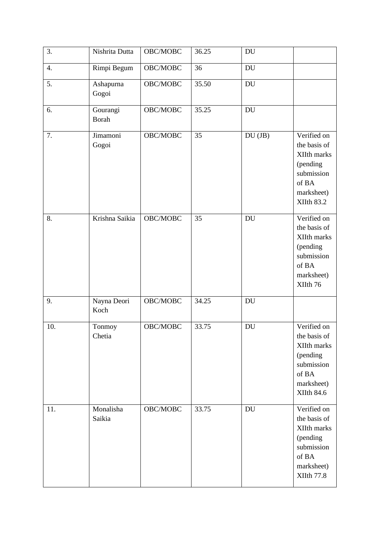| 3.  | Nishrita Dutta           | OBC/MOBC | 36.25 | DU                         |                                                                                                                  |
|-----|--------------------------|----------|-------|----------------------------|------------------------------------------------------------------------------------------------------------------|
| 4.  | Rimpi Begum              | OBC/MOBC | 36    | DU                         |                                                                                                                  |
| 5.  | Ashapurna<br>Gogoi       | OBC/MOBC | 35.50 | <b>DU</b>                  |                                                                                                                  |
| 6.  | Gourangi<br><b>Borah</b> | OBC/MOBC | 35.25 | <b>DU</b>                  |                                                                                                                  |
| 7.  | Jimamoni<br>Gogoi        | OBC/MOBC | 35    | $DU$ (JB)                  | Verified on<br>the basis of<br>XIIth marks<br>(pending<br>submission<br>of BA<br>marksheet)<br><b>XIIth 83.2</b> |
| 8.  | Krishna Saikia           | OBC/MOBC | 35    | <b>DU</b>                  | Verified on<br>the basis of<br>XIIth marks<br>(pending<br>submission<br>of BA<br>marksheet)<br>XIIth 76          |
| 9.  | Nayna Deori<br>Koch      | OBC/MOBC | 34.25 | $\mathop{\rm DU}\nolimits$ |                                                                                                                  |
| 10. | Tonmoy<br>Chetia         | OBC/MOBC | 33.75 | <b>DU</b>                  | Verified on<br>the basis of<br>XIIth marks<br>(pending<br>submission<br>of BA<br>marksheet)<br><b>XIIth 84.6</b> |
| 11. | Monalisha<br>Saikia      | OBC/MOBC | 33.75 | <b>DU</b>                  | Verified on<br>the basis of<br>XIIth marks<br>(pending<br>submission<br>of BA<br>marksheet)<br><b>XIIth 77.8</b> |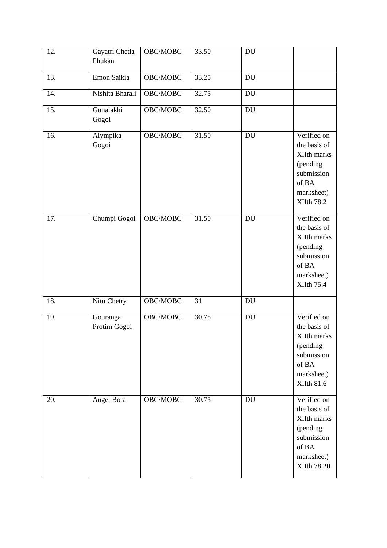| 12. | Gayatri Chetia<br>Phukan | OBC/MOBC | 33.50 | DU                         |                                                                                                                  |
|-----|--------------------------|----------|-------|----------------------------|------------------------------------------------------------------------------------------------------------------|
| 13. | Emon Saikia              | OBC/MOBC | 33.25 | DU                         |                                                                                                                  |
| 14. | Nishita Bharali          | OBC/MOBC | 32.75 | DU                         |                                                                                                                  |
| 15. | Gunalakhi<br>Gogoi       | OBC/MOBC | 32.50 | DU                         |                                                                                                                  |
| 16. | Alympika<br>Gogoi        | OBC/MOBC | 31.50 | DU                         | Verified on<br>the basis of<br>XIIth marks<br>(pending<br>submission<br>of BA<br>marksheet)<br><b>XIIth 78.2</b> |
| 17. | Chumpi Gogoi             | OBC/MOBC | 31.50 | DU                         | Verified on<br>the basis of<br>XIIth marks<br>(pending<br>submission<br>of BA<br>marksheet)<br><b>XIIth 75.4</b> |
| 18. | Nitu Chetry              | OBC/MOBC | 31    | DU                         |                                                                                                                  |
| 19. | Gouranga<br>Protim Gogoi | OBC/MOBC | 30.75 | $\mathop{\rm DU}\nolimits$ | Verified on<br>the basis of<br>XIIth marks<br>(pending<br>submission<br>of BA<br>marksheet)<br><b>XIIth 81.6</b> |
| 20. | Angel Bora               | OBC/MOBC | 30.75 | DU                         | Verified on<br>the basis of<br>XIIth marks<br>(pending<br>submission<br>of BA<br>marksheet)<br>XIIth 78.20       |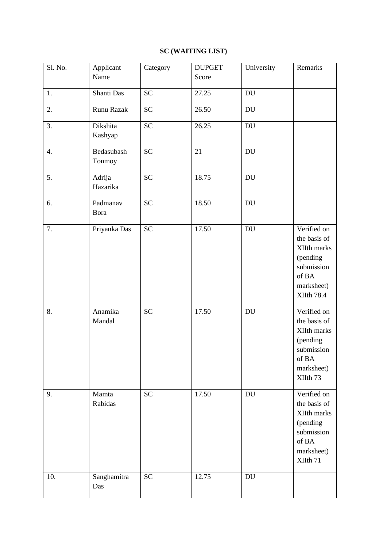## **SC (WAITING LIST)**

| Sl. No. | Applicant            | Category        | <b>DUPGET</b> | University                 | Remarks                                                                                                          |
|---------|----------------------|-----------------|---------------|----------------------------|------------------------------------------------------------------------------------------------------------------|
|         | Name                 |                 | Score         |                            |                                                                                                                  |
| 1.      | Shanti Das           | <b>SC</b>       | 27.25         | $\mathbf{D}\mathbf{U}$     |                                                                                                                  |
| 2.      | Runu Razak           | <b>SC</b>       | 26.50         | $\mathop{\rm DU}\nolimits$ |                                                                                                                  |
| 3.      | Dikshita<br>Kashyap  | <b>SC</b>       | 26.25         | DU                         |                                                                                                                  |
| 4.      | Bedasubash<br>Tonmoy | $\overline{SC}$ | 21            | DU                         |                                                                                                                  |
| 5.      | Adrija<br>Hazarika   | <b>SC</b>       | 18.75         | DU                         |                                                                                                                  |
| 6.      | Padmanav<br>Bora     | <b>SC</b>       | 18.50         | $\mathop{\rm DU}\nolimits$ |                                                                                                                  |
| 7.      | Priyanka Das         | <b>SC</b>       | 17.50         | $\operatorname{DU}$        | Verified on<br>the basis of<br>XIIth marks<br>(pending<br>submission<br>of BA<br>marksheet)<br><b>XIIth 78.4</b> |
| 8.      | Anamika<br>Mandal    | <b>SC</b>       | 17.50         | DU                         | Verified on<br>the basis of<br>XIIth marks<br>(pending<br>submission<br>of BA<br>marksheet)<br>XIIth 73          |
| 9.      | Mamta<br>Rabidas     | <b>SC</b>       | 17.50         | <b>DU</b>                  | Verified on<br>the basis of<br>XIIth marks<br>(pending<br>submission<br>of BA<br>marksheet)<br>XIIth 71          |
| 10.     | Sanghamitra<br>Das   | <b>SC</b>       | 12.75         | $\operatorname{DU}$        |                                                                                                                  |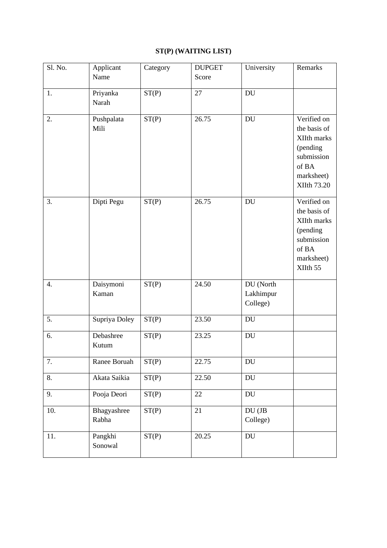# **ST(P) (WAITING LIST)**

| Sl. No. | Applicant            | Category | <b>DUPGET</b> | University                         | Remarks                                                                                                    |
|---------|----------------------|----------|---------------|------------------------------------|------------------------------------------------------------------------------------------------------------|
|         | Name                 |          | Score         |                                    |                                                                                                            |
| 1.      | Priyanka<br>Narah    | ST(P)    | 27            | DU                                 |                                                                                                            |
| 2.      | Pushpalata<br>Mili   | ST(P)    | 26.75         | <b>DU</b>                          | Verified on<br>the basis of<br>XIIth marks<br>(pending<br>submission<br>of BA<br>marksheet)<br>XIIth 73.20 |
| 3.      | Dipti Pegu           | ST(P)    | 26.75         | <b>DU</b>                          | Verified on<br>the basis of<br>XIIth marks<br>(pending<br>submission<br>of BA<br>marksheet)<br>XIIth 55    |
| 4.      | Daisymoni<br>Kaman   | ST(P)    | 24.50         | DU (North<br>Lakhimpur<br>College) |                                                                                                            |
| 5.      | Supriya Doley        | ST(P)    | 23.50         | $\mathop{\rm DU}\nolimits$         |                                                                                                            |
| 6.      | Debashree<br>Kutum   | ST(P)    | 23.25         | <b>DU</b>                          |                                                                                                            |
| 7.      | Ranee Boruah         | ST(P)    | 22.75         | DU                                 |                                                                                                            |
| 8.      | Akata Saikia         | ST(P)    | 22.50         | $\operatorname{DU}$                |                                                                                                            |
| 9.      | Pooja Deori          | ST(P)    | 22            | DU                                 |                                                                                                            |
| 10.     | Bhagyashree<br>Rabha | ST(P)    | 21            | DU (JB<br>College)                 |                                                                                                            |
| 11.     | Pangkhi<br>Sonowal   | ST(P)    | 20.25         | DU                                 |                                                                                                            |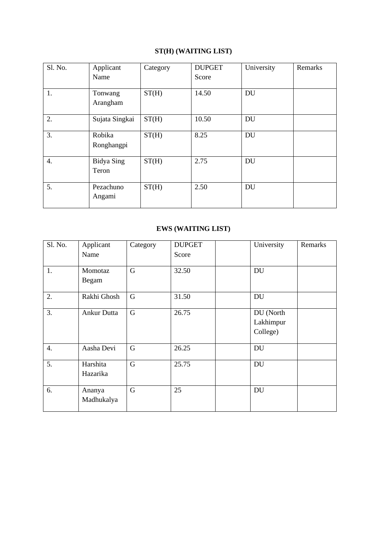## **ST(H) (WAITING LIST)**

| Sl. No. | Applicant<br>Name          | Category | <b>DUPGET</b><br>Score | University | Remarks |
|---------|----------------------------|----------|------------------------|------------|---------|
| 1.      | Tonwang<br>Arangham        | ST(H)    | 14.50                  | <b>DU</b>  |         |
| 2.      | Sujata Singkai             | ST(H)    | 10.50                  | <b>DU</b>  |         |
| 3.      | Robika<br>Ronghangpi       | ST(H)    | 8.25                   | <b>DU</b>  |         |
| 4.      | <b>Bidya Sing</b><br>Teron | ST(H)    | 2.75                   | <b>DU</b>  |         |
| 5.      | Pezachuno<br>Angami        | ST(H)    | 2.50                   | <b>DU</b>  |         |

## **EWS (WAITING LIST)**

| Sl. No.          | Applicant<br>Name    | Category    | <b>DUPGET</b><br>Score | University                         | Remarks |
|------------------|----------------------|-------------|------------------------|------------------------------------|---------|
| 1.               | Momotaz<br>Begam     | G           | 32.50                  | <b>DU</b>                          |         |
| 2.               | Rakhi Ghosh          | G           | 31.50                  | <b>DU</b>                          |         |
| 3.               | Ankur Dutta          | G           | 26.75                  | DU (North<br>Lakhimpur<br>College) |         |
| $\overline{4}$ . | Aasha Devi           | G           | 26.25                  | DU                                 |         |
| 5.               | Harshita<br>Hazarika | $\mathbf G$ | 25.75                  | DU                                 |         |
| 6.               | Ananya<br>Madhukalya | G           | 25                     | <b>DU</b>                          |         |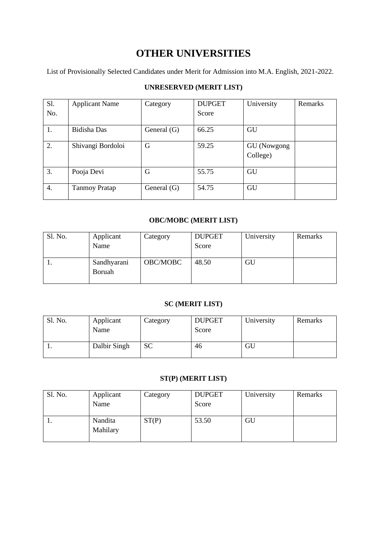# **OTHER UNIVERSITIES**

List of Provisionally Selected Candidates under Merit for Admission into M.A. English, 2021-2022.

#### **UNRESERVED (MERIT LIST)**

| S1. | <b>Applicant Name</b> | Category      | <b>DUPGET</b> | University              | Remarks |
|-----|-----------------------|---------------|---------------|-------------------------|---------|
| No. |                       |               | Score         |                         |         |
| 1.  | Bidisha Das           | General $(G)$ | 66.25         | GU                      |         |
| 2.  | Shivangi Bordoloi     | G             | 59.25         | GU (Nowgong<br>College) |         |
| 3.  | Pooja Devi            | G             | 55.75         | GU                      |         |
| 4.  | <b>Tanmoy Pratap</b>  | General $(G)$ | 54.75         | GU                      |         |

#### **OBC/MOBC (MERIT LIST)**

| Sl. No. | Applicant<br>Name            | Category | <b>DUPGET</b><br>Score | University | Remarks |
|---------|------------------------------|----------|------------------------|------------|---------|
| . .     | Sandhyarani<br><b>Boruah</b> | OBC/MOBC | 48.50                  | GU         |         |

#### **SC (MERIT LIST)**

| Sl. No. | Applicant<br>Name | Category | <b>DUPGET</b><br>Score | University | Remarks |
|---------|-------------------|----------|------------------------|------------|---------|
| . .     | Dalbir Singh      | SС       | 46                     | GU         |         |

#### **ST(P) (MERIT LIST)**

| Sl. No. | Applicant<br>Name   | Category | <b>DUPGET</b><br>Score | University | Remarks |
|---------|---------------------|----------|------------------------|------------|---------|
| 1.      | Nandita<br>Mahilary | ST(P)    | 53.50                  | GU         |         |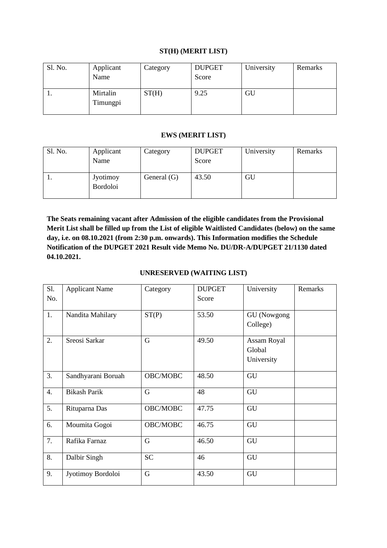#### **ST(H) (MERIT LIST)**

| Sl. No. | Applicant<br>Name    | Category | <b>DUPGET</b><br>Score | University | Remarks |
|---------|----------------------|----------|------------------------|------------|---------|
| 1.      | Mirtalin<br>Timungpi | ST(H)    | 9.25                   | GU         |         |

#### **EWS (MERIT LIST)**

| Sl. No. | Applicant<br>Name                  | Category      | <b>DUPGET</b><br>Score | University | Remarks |
|---------|------------------------------------|---------------|------------------------|------------|---------|
| 1.      | <b>Jyotimoy</b><br><b>Bordoloi</b> | General $(G)$ | 43.50                  | GU         |         |

**The Seats remaining vacant after Admission of the eligible candidates from the Provisional Merit List shall be filled up from the List of eligible Waitlisted Candidates (below) on the same day, i.e. on 08.10.2021 (from 2:30 p.m. onwards). This Information modifies the Schedule Notification of the DUPGET 2021 Result vide Memo No. DU/DR-A/DUPGET 21/1130 dated 04.10.2021.**

#### **UNRESERVED (WAITING LIST)**

| S1.              | <b>Applicant Name</b> | Category    | <b>DUPGET</b> | University                          | Remarks |
|------------------|-----------------------|-------------|---------------|-------------------------------------|---------|
| No.              |                       |             | Score         |                                     |         |
| 1.               | Nandita Mahilary      | ST(P)       | 53.50         | GU (Nowgong<br>College)             |         |
| 2.               | Sreosi Sarkar         | $\mathbf G$ | 49.50         | Assam Royal<br>Global<br>University |         |
| 3.               | Sandhyarani Boruah    | OBC/MOBC    | 48.50         | GU                                  |         |
| $\overline{4}$ . | <b>Bikash Parik</b>   | G           | 48            | GU                                  |         |
| 5.               | Rituparna Das         | OBC/MOBC    | 47.75         | GU                                  |         |
| 6.               | Moumita Gogoi         | OBC/MOBC    | 46.75         | GU                                  |         |
| 7.               | Rafika Farnaz         | $\mathbf G$ | 46.50         | GU                                  |         |
| 8.               | Dalbir Singh          | <b>SC</b>   | 46            | GU                                  |         |
| 9.               | Jyotimoy Bordoloi     | $\mathbf G$ | 43.50         | GU                                  |         |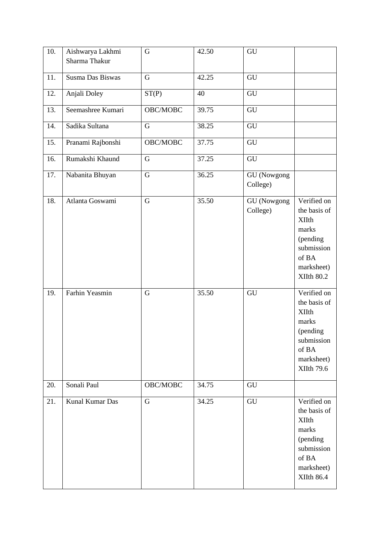| 10. | Aishwarya Lakhmi<br>Sharma Thakur | $\mathbf G$    | 42.50 | GU                             |                                                                                                                            |
|-----|-----------------------------------|----------------|-------|--------------------------------|----------------------------------------------------------------------------------------------------------------------------|
| 11. | Susma Das Biswas                  | $\mathbf G$    | 42.25 | ${\rm GU}$                     |                                                                                                                            |
| 12. | Anjali Doley                      | ST(P)          | 40    | GU                             |                                                                                                                            |
| 13. | Seemashree Kumari                 | OBC/MOBC       | 39.75 | ${\rm GU}$                     |                                                                                                                            |
| 14. | Sadika Sultana                    | $\mathbf G$    | 38.25 | GU                             |                                                                                                                            |
| 15. | Pranami Rajbonshi                 | OBC/MOBC       | 37.75 | GU                             |                                                                                                                            |
| 16. | Rumakshi Khaund                   | $\overline{G}$ | 37.25 | GU                             |                                                                                                                            |
| 17. | Nabanita Bhuyan                   | $\mathbf G$    | 36.25 | <b>GU</b> (Nowgong<br>College) |                                                                                                                            |
| 18. | Atlanta Goswami                   | $\mathbf G$    | 35.50 | <b>GU</b> (Nowgong<br>College) | Verified on<br>the basis of<br><b>XIIth</b><br>marks<br>(pending<br>submission<br>of BA<br>marksheet)<br><b>XIIth 80.2</b> |
| 19. | Farhin Yeasmin                    | $\mathbf G$    | 35.50 | GU                             | Verified on<br>the basis of<br><b>XIIth</b><br>marks<br>(pending<br>submission<br>of BA<br>marksheet)<br><b>XIIth 79.6</b> |
| 20. | Sonali Paul                       | OBC/MOBC       | 34.75 | GU                             |                                                                                                                            |
| 21. | Kunal Kumar Das                   | G              | 34.25 | ${\rm GU}$                     | Verified on<br>the basis of<br><b>XIIth</b><br>marks<br>(pending<br>submission<br>of BA<br>marksheet)<br><b>XIIth 86.4</b> |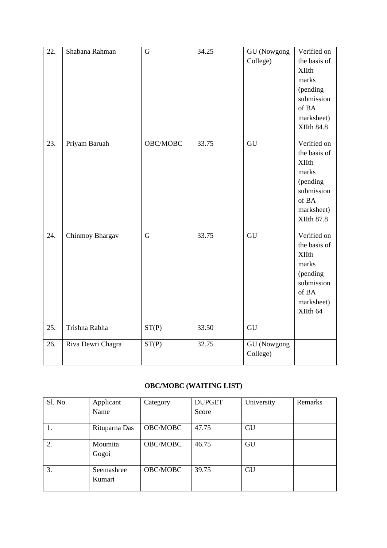| 22. | Shabana Rahman    | G              | 34.25 | <b>GU</b> (Nowgong<br>College) | Verified on<br>the basis of<br><b>XIIth</b><br>marks<br>(pending<br>submission<br>of BA<br>marksheet)<br><b>XIIth 84.8</b> |
|-----|-------------------|----------------|-------|--------------------------------|----------------------------------------------------------------------------------------------------------------------------|
| 23. | Priyam Baruah     | OBC/MOBC       | 33.75 | GU                             | Verified on<br>the basis of<br><b>XIIth</b><br>marks<br>(pending<br>submission<br>of BA<br>marksheet)<br><b>XIIth 87.8</b> |
| 24. | Chinmoy Bhargav   | $\overline{G}$ | 33.75 | GU                             | Verified on<br>the basis of<br><b>XIIth</b><br>marks<br>(pending<br>submission<br>of BA<br>marksheet)<br>XIIth 64          |
| 25. | Trishna Rabha     | ST(P)          | 33.50 | GU                             |                                                                                                                            |
| 26. | Riva Dewri Chagra | ST(P)          | 32.75 | <b>GU</b> (Nowgong<br>College) |                                                                                                                            |

## **OBC/MOBC (WAITING LIST)**

| Sl. No. | Applicant            | Category | <b>DUPGET</b> | University | Remarks |
|---------|----------------------|----------|---------------|------------|---------|
|         | Name                 |          | Score         |            |         |
|         | Rituparna Das        | OBC/MOBC | 47.75         | GU         |         |
| 2.      | Moumita<br>Gogoi     | OBC/MOBC | 46.75         | GU         |         |
| 3.      | Seemashree<br>Kumari | OBC/MOBC | 39.75         | GU         |         |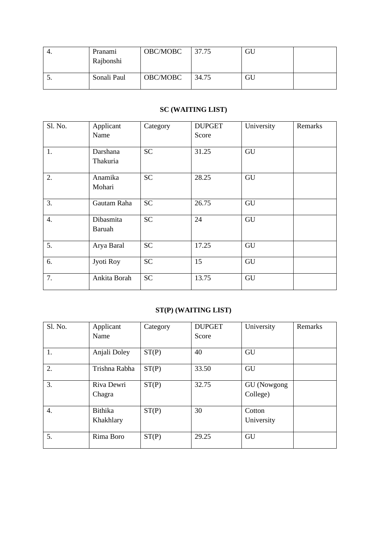| 4. | Pranami<br>Rajbonshi | OBC/MOBC | 37.75 | GU |  |
|----|----------------------|----------|-------|----|--|
| J. | Sonali Paul          | OBC/MOBC | 34.75 | GU |  |

## **SC (WAITING LIST)**

| Sl. No. | Applicant<br>Name          | Category  | <b>DUPGET</b><br>Score | University | Remarks |
|---------|----------------------------|-----------|------------------------|------------|---------|
| 1.      | Darshana<br>Thakuria       | <b>SC</b> | 31.25                  | GU         |         |
| 2.      | Anamika<br>Mohari          | <b>SC</b> | 28.25                  | GU         |         |
| 3.      | Gautam Raha                | <b>SC</b> | 26.75                  | GU         |         |
| 4.      | Dibasmita<br><b>Baruah</b> | <b>SC</b> | 24                     | GU         |         |
| 5.      | Arya Baral                 | <b>SC</b> | 17.25                  | GU         |         |
| 6.      | Jyoti Roy                  | <b>SC</b> | 15                     | GU         |         |
| 7.      | Ankita Borah               | <b>SC</b> | 13.75                  | GU         |         |

## **ST(P) (WAITING LIST)**

| Sl. No. | Applicant     | Category | <b>DUPGET</b> | University  | Remarks |
|---------|---------------|----------|---------------|-------------|---------|
|         | Name          |          | Score         |             |         |
| 1.      | Anjali Doley  | ST(P)    | 40            | GU          |         |
| 2.      | Trishna Rabha | ST(P)    | 33.50         | GU          |         |
| 3.      | Riva Dewri    | ST(P)    | 32.75         | GU (Nowgong |         |
|         | Chagra        |          |               | College)    |         |
| 4.      | Bithika       | ST(P)    | 30            | Cotton      |         |
|         | Khakhlary     |          |               | University  |         |
| 5.      | Rima Boro     | ST(P)    | 29.25         | GU          |         |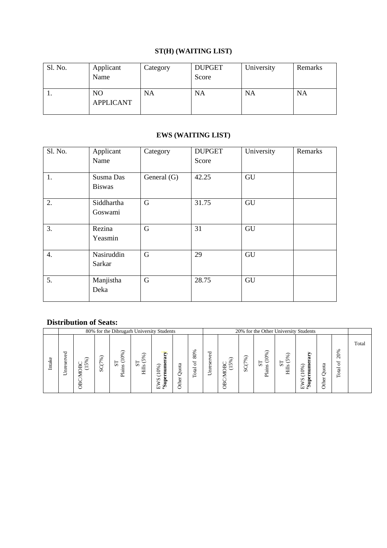## **ST(H) (WAITING LIST)**

| Sl. No. | Applicant<br>Name                  | Category  | <b>DUPGET</b><br>Score | University | Remarks   |
|---------|------------------------------------|-----------|------------------------|------------|-----------|
| .,      | N <sub>O</sub><br><b>APPLICANT</b> | <b>NA</b> | <b>NA</b>              | NA         | <b>NA</b> |

## **EWS (WAITING LIST)**

| Sl. No.          | Applicant<br>Name          | Category    | <b>DUPGET</b><br>Score | University | Remarks |
|------------------|----------------------------|-------------|------------------------|------------|---------|
| 1.               | Susma Das<br><b>Biswas</b> | General (G) | 42.25                  | GU         |         |
| 2.               | Siddhartha<br>Goswami      | G           | 31.75                  | GU         |         |
| 3.               | Rezina<br>Yeasmin          | G           | 31                     | GU         |         |
| $\overline{4}$ . | Nasiruddin<br>Sarkar       | G           | 29                     | GU         |         |
| 5.               | Manjistha<br>Deka          | G           | 28.75                  | GU         |         |

#### **Distribution of Seats:**

|        |                                 |                                        |                                                                   |                                                  | 80% for the Dibrugarh University Students                                             |                               |                             |                   | 20% for the Other University Students |                   |            |                                                                                       |                                                                                              |                       |                  |                                                                             |       |
|--------|---------------------------------|----------------------------------------|-------------------------------------------------------------------|--------------------------------------------------|---------------------------------------------------------------------------------------|-------------------------------|-----------------------------|-------------------|---------------------------------------|-------------------|------------|---------------------------------------------------------------------------------------|----------------------------------------------------------------------------------------------|-----------------------|------------------|-----------------------------------------------------------------------------|-------|
| Intake | ರ<br>$\Phi$<br>ω<br>∞<br>ω<br>∽ | ℅<br>◡<br>$\Omega$<br>Ř<br>ご<br>⋝<br>◡ | ⌒<br>۰o<br>∝<br>$\overline{ }$<br>$\check{\phantom{a}}$<br>◡<br>Ō | ⌒<br>0%<br>$\check{ }$<br>∞<br>S<br>niai<br>Plai | $\overline{\phantom{1}}$<br>5%<br>⊢<br>$\check{ }$<br>$\boldsymbol{\omega}$<br>S<br>Ē | ➤<br>℅<br>∊<br>s<br>£         | ದ<br>↩<br>٥<br>ā<br>⊷<br>نە | 80%<br>ð<br>Total | ರ<br>٥<br>∸<br>Se,<br>ne<br>∽         | ⌒<br>5%<br>Ř<br>J | %<br>SC(7) | (0%)<br>$\overline{\phantom{0}}$<br>⊢<br>$\overline{\phantom{0}}$<br>s<br>S<br>Plains | $\overline{\phantom{1}}$<br>℅<br>n<br>⊢<br>$\overline{\phantom{a}}$<br>$\sim$<br>$\sim$<br>Ē | ⋗<br>ä<br>℅<br>n<br>≘ | ದ<br>ä<br>ā<br>⊷ | శ<br>Ò<br>$\bar{\sim}$<br>$\overline{\phantom{0}}$<br>ö<br>−<br>ದ<br>ಕ<br>⊢ | Total |
|        |                                 | පී                                     |                                                                   |                                                  |                                                                                       | ⊳<br>$\mathbf{S}_{\pm}$<br>்ப | €                           |                   |                                       | B                 |            |                                                                                       |                                                                                              | $\mathbf{S}$<br>ш     | <b>Other</b>     |                                                                             |       |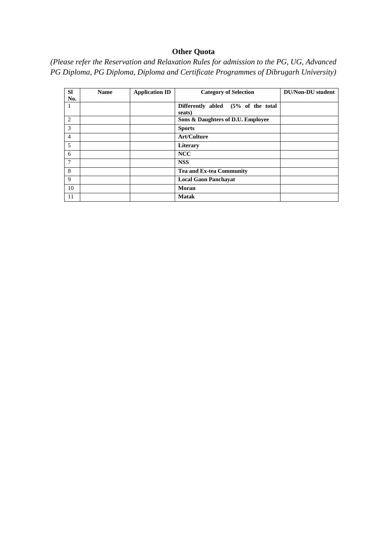## **Other Quota**

*(Please refer the Reservation and Relaxation Rules for admission to the PG, UG, Advanced PG Diploma, PG Diploma, Diploma and Certificate Programmes of Dibrugarh University)*

| <b>SI</b><br>No. | <b>Name</b> | <b>Application ID</b> | <b>Category of Selection</b>                 | <b>DU/Non-DU</b> student |
|------------------|-------------|-----------------------|----------------------------------------------|--------------------------|
| -1               |             |                       | Differently abled (5% of the total<br>seats) |                          |
| $\overline{2}$   |             |                       | Sons & Daughters of D.U. Employee            |                          |
| 3                |             |                       | <b>Sports</b>                                |                          |
| $\overline{4}$   |             |                       | <b>Art/Culture</b>                           |                          |
| 5                |             |                       | <b>Literary</b>                              |                          |
| 6                |             |                       | <b>NCC</b>                                   |                          |
| $7\phantom{.0}$  |             |                       | <b>NSS</b>                                   |                          |
| 8                |             |                       | <b>Tea and Ex-tea Community</b>              |                          |
| 9                |             |                       | <b>Local Gaon Panchayat</b>                  |                          |
| 10               |             |                       | Moran                                        |                          |
| 11               |             |                       | <b>Matak</b>                                 |                          |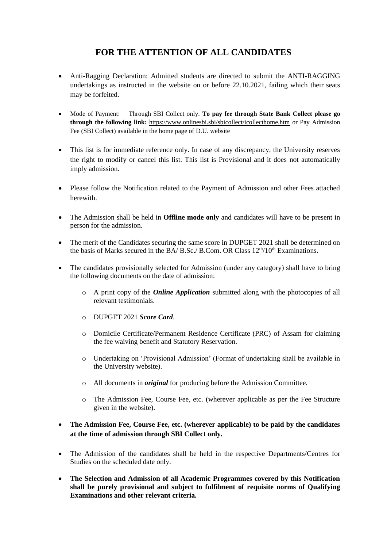# **FOR THE ATTENTION OF ALL CANDIDATES**

- Anti-Ragging Declaration: Admitted students are directed to submit the ANTI-RAGGING undertakings as instructed in the website on or before 22.10.2021, failing which their seats may be forfeited.
- Mode of Payment: Through SBI Collect only. **To pay fee through State Bank Collect please go through the following link:** <https://www.onlinesbi.sbi/sbicollect/icollecthome.htm> or Pay Admission Fee (SBI Collect) available in the home page of D.U. website
- This list is for immediate reference only. In case of any discrepancy, the University reserves the right to modify or cancel this list. This list is Provisional and it does not automatically imply admission.
- Please follow the Notification related to the Payment of Admission and other Fees attached herewith.
- The Admission shall be held in **Offline mode only** and candidates will have to be present in person for the admission.
- The merit of the Candidates securing the same score in DUPGET 2021 shall be determined on the basis of Marks secured in the BA/ B.Sc./ B.Com. OR Class 12<sup>th</sup>/10<sup>th</sup> Examinations.
- The candidates provisionally selected for Admission (under any category) shall have to bring the following documents on the date of admission:
	- o A print copy of the *Online Application* submitted along with the photocopies of all relevant testimonials.
	- o DUPGET 2021 *Score Card*.
	- o Domicile Certificate/Permanent Residence Certificate (PRC) of Assam for claiming the fee waiving benefit and Statutory Reservation.
	- o Undertaking on 'Provisional Admission' (Format of undertaking shall be available in the University website).
	- o All documents in *original* for producing before the Admission Committee.
	- o The Admission Fee, Course Fee, etc. (wherever applicable as per the Fee Structure given in the website).
- **The Admission Fee, Course Fee, etc. (wherever applicable) to be paid by the candidates at the time of admission through SBI Collect only.**
- The Admission of the candidates shall be held in the respective Departments/Centres for Studies on the scheduled date only.
- **The Selection and Admission of all Academic Programmes covered by this Notification shall be purely provisional and subject to fulfilment of requisite norms of Qualifying Examinations and other relevant criteria.**